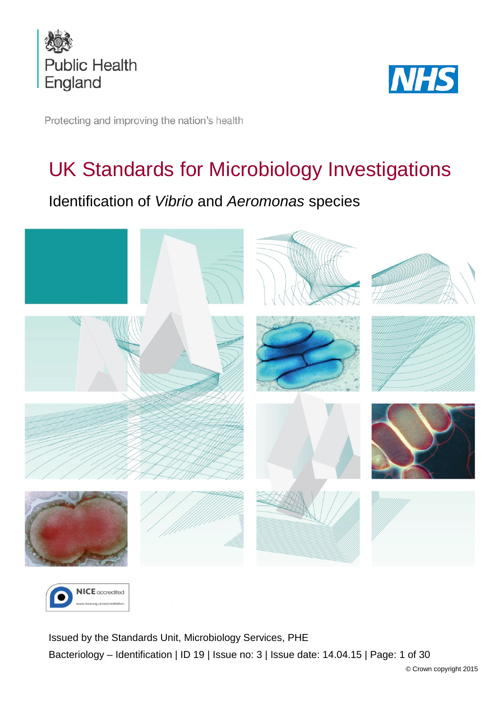



Protecting and improving the nation's health

# UK Standards for Microbiology Investigations

# Identification of *Vibrio* and *Aeromonas* species





<span id="page-0-0"></span>Issued by the Standards Unit, Microbiology Services, PHE Bacteriology – Identification | ID 19 | Issue no: 3 | Issue date: 14.04.15 | Page: 1 of 30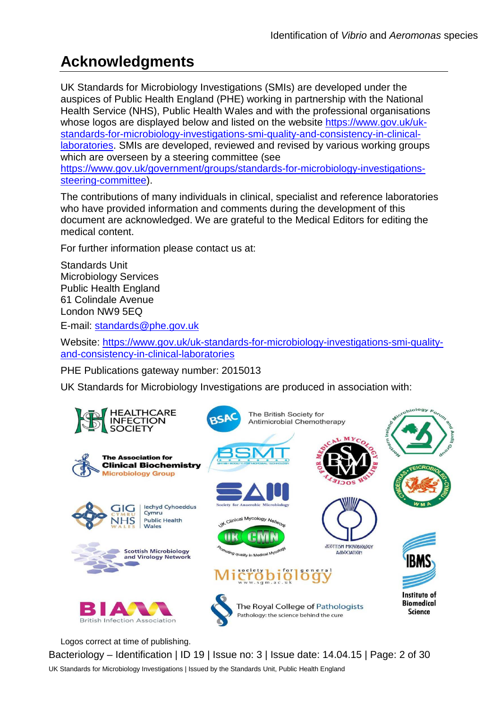# **Acknowledgments**

UK Standards for Microbiology Investigations (SMIs) are developed under the auspices of Public Health England (PHE) working in partnership with the National Health Service (NHS), Public Health Wales and with the professional organisations whose logos are displayed below and listed on the website [https://www.gov.uk/uk](https://www.gov.uk/uk-standards-for-microbiology-investigations-smi-quality-and-consistency-in-clinical-laboratories)[standards-for-microbiology-investigations-smi-quality-and-consistency-in-clinical](https://www.gov.uk/uk-standards-for-microbiology-investigations-smi-quality-and-consistency-in-clinical-laboratories)[laboratories.](https://www.gov.uk/uk-standards-for-microbiology-investigations-smi-quality-and-consistency-in-clinical-laboratories) SMIs are developed, reviewed and revised by various working groups which are overseen by a steering committee (see [https://www.gov.uk/government/groups/standards-for-microbiology-investigations](https://www.gov.uk/government/groups/standards-for-microbiology-investigations-steering-committee)[steering-committee\)](https://www.gov.uk/government/groups/standards-for-microbiology-investigations-steering-committee).

The contributions of many individuals in clinical, specialist and reference laboratories who have provided information and comments during the development of this document are acknowledged. We are grateful to the Medical Editors for editing the medical content.

For further information please contact us at:

Standards Unit Microbiology Services Public Health England 61 Colindale Avenue London NW9 5EQ

E-mail: [standards@phe.gov.uk](mailto:standards@phe.gov.uk)

Website: [https://www.gov.uk/uk-standards-for-microbiology-investigations-smi-quality](https://www.gov.uk/uk-standards-for-microbiology-investigations-smi-quality-and-consistency-in-clinical-laboratories)[and-consistency-in-clinical-laboratories](https://www.gov.uk/uk-standards-for-microbiology-investigations-smi-quality-and-consistency-in-clinical-laboratories)

PHE Publications gateway number: 2015013

UK Standards for Microbiology Investigations are produced in association with:



Logos correct at time of publishing.

Bacteriology – Identification | ID 19 | Issue no: 3 | Issue date: 14.04.15 | Page: 2 of 30 UK Standards for Microbiology Investigations | Issued by the Standards Unit, Public Health England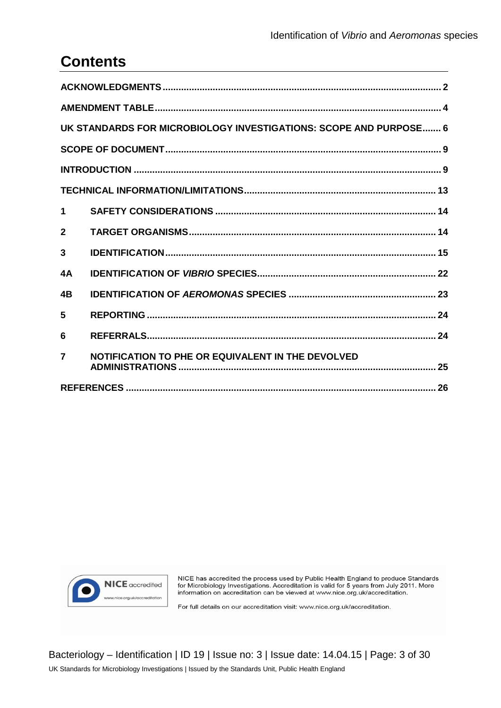# **Contents**

| UK STANDARDS FOR MICROBIOLOGY INVESTIGATIONS: SCOPE AND PURPOSE 6 |                                                   |  |  |  |
|-------------------------------------------------------------------|---------------------------------------------------|--|--|--|
|                                                                   |                                                   |  |  |  |
|                                                                   |                                                   |  |  |  |
|                                                                   |                                                   |  |  |  |
| 1                                                                 |                                                   |  |  |  |
| $\overline{2}$                                                    |                                                   |  |  |  |
| 3                                                                 |                                                   |  |  |  |
| 4A                                                                |                                                   |  |  |  |
| 4B                                                                |                                                   |  |  |  |
| 5                                                                 |                                                   |  |  |  |
| 6                                                                 |                                                   |  |  |  |
| $\overline{7}$                                                    | NOTIFICATION TO PHE OR EQUIVALENT IN THE DEVOLVED |  |  |  |
|                                                                   |                                                   |  |  |  |



NICE has accredited the process used by Public Health England to produce Standards frict, has accedited the process used by Public Health England to produce Standards<br>for Microbiology Investigations. Accreditation is valid for 5 years from July 2011. More<br>information on accreditation can be viewed at www

For full details on our accreditation visit: www.nice.org.uk/accreditation.

Bacteriology - Identification | ID 19 | Issue no: 3 | Issue date: 14.04.15 | Page: 3 of 30 UK Standards for Microbiology Investigations | Issued by the Standards Unit, Public Health England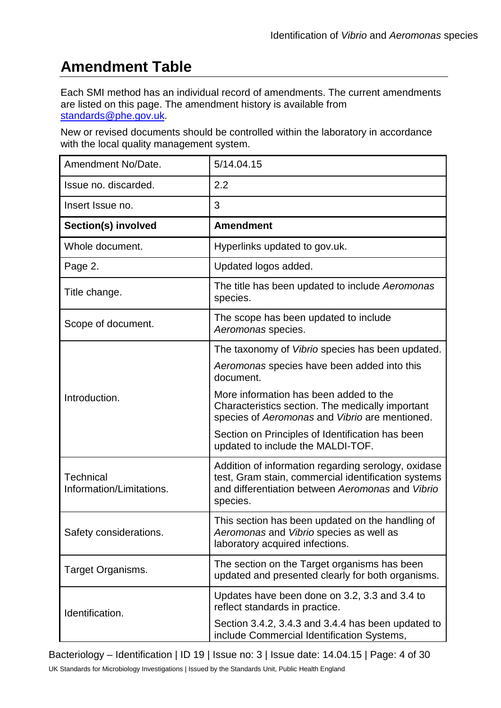# **Amendment Table**

Each SMI method has an individual record of amendments. The current amendments are listed on this page. The amendment history is available from [standards@phe.gov.uk.](mailto:standards@phe.gov.uk)

New or revised documents should be controlled within the laboratory in accordance with the local quality management system.

| Amendment No/Date.                           | 5/14.04.15                                                                                                                                                                 |
|----------------------------------------------|----------------------------------------------------------------------------------------------------------------------------------------------------------------------------|
| Issue no. discarded.                         | 2.2                                                                                                                                                                        |
| Insert Issue no.                             | 3                                                                                                                                                                          |
| Section(s) involved                          | <b>Amendment</b>                                                                                                                                                           |
| Whole document.                              | Hyperlinks updated to gov.uk.                                                                                                                                              |
| Page 2.                                      | Updated logos added.                                                                                                                                                       |
| Title Change.                                | The title has been updated to include Aeromonas<br>species.                                                                                                                |
| Scope of Document.                           | The scope has been updated to include<br>Aeromonas species.                                                                                                                |
|                                              | The taxonomy of Vibrio species has been updated.                                                                                                                           |
|                                              | Aeromonas species have been added into this<br>document.                                                                                                                   |
| Introduction.                                | More information has been added to the<br>Characteristics section. The medically important<br>species of Aeromonas and Vibrio are mentioned.                               |
|                                              | Section on Principles of Identification has been<br>updated to include the MALDI-TOF.                                                                                      |
| <b>Technical</b><br>Information/Limitations. | Addition of information regarding serology, oxidase<br>test, Gram stain, commercial identification systems<br>and differentiation between Aeromonas and Vibrio<br>species. |
| <b>Safety Considerations</b>                 | This section has been updated on the handling of<br>Aeromonas and Vibrio species as well as<br>laboratory acquired infections.                                             |
| Target Organisms.                            | The section on the Target organisms has been<br>updated and presented clearly for both organisms.                                                                          |
| Identification.                              | Updates have been done on 3.2, 3.3 and 3.4 to<br>reflect standards in practice.                                                                                            |
|                                              | Section 3.4.2, 3.4.3 and 3.4.4 has been updated to<br>include Commercial Identification Systems,                                                                           |

Bacteriology – Identification | ID 19 | Issue no: 3 | Issue date: 14.04.15 | Page: 4 of 30

UK Standards for Microbiology Investigations | Issued by the Standards Unit, Public Health England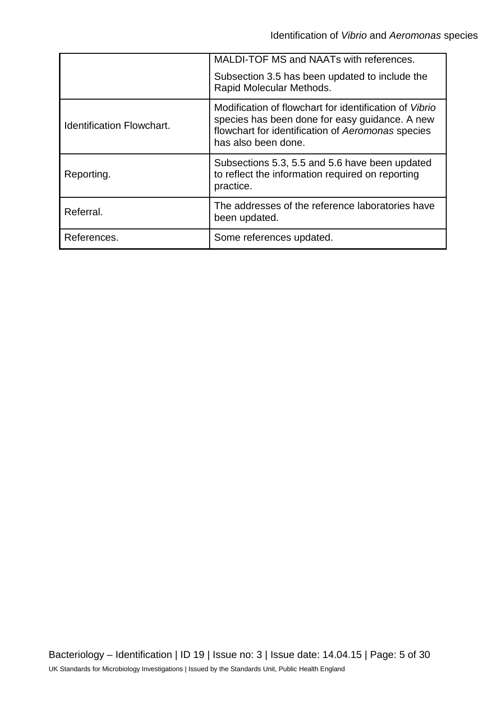|                                  | MALDI-TOF MS and NAATs with references.<br>Subsection 3.5 has been updated to include the<br>Rapid Molecular Methods.                                                                |
|----------------------------------|--------------------------------------------------------------------------------------------------------------------------------------------------------------------------------------|
| <b>Identification Flowchart.</b> | Modification of flowchart for identification of Vibrio<br>species has been done for easy guidance. A new<br>flowchart for identification of Aeromonas species<br>has also been done. |
| Reporting.                       | Subsections 5.3, 5.5 and 5.6 have been updated<br>to reflect the information required on reporting<br>practice.                                                                      |
| Referral.                        | The addresses of the reference laboratories have<br>been updated.                                                                                                                    |
| References.                      | Some references updated.                                                                                                                                                             |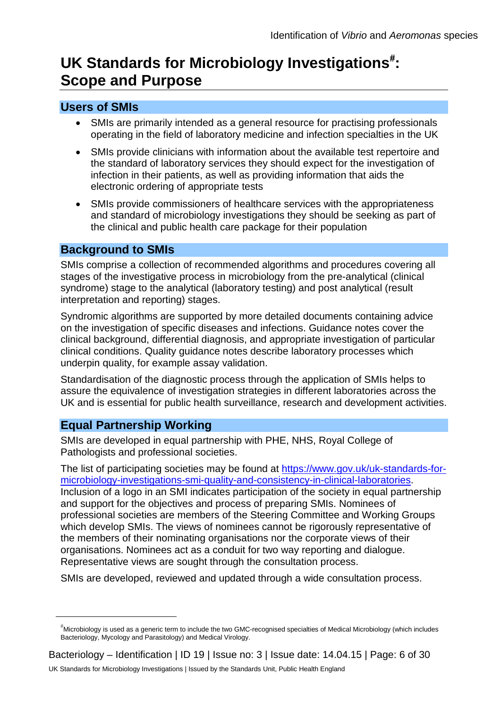# UK Standards for Microbiology Investigations<sup>[#](#page-0-0)</sup>: **Scope and Purpose**

# **Users of SMIs**

- SMIs are primarily intended as a general resource for practising professionals operating in the field of laboratory medicine and infection specialties in the UK
- SMIs provide clinicians with information about the available test repertoire and the standard of laboratory services they should expect for the investigation of infection in their patients, as well as providing information that aids the electronic ordering of appropriate tests
- SMIs provide commissioners of healthcare services with the appropriateness and standard of microbiology investigations they should be seeking as part of the clinical and public health care package for their population

### **Background to SMIs**

SMIs comprise a collection of recommended algorithms and procedures covering all stages of the investigative process in microbiology from the pre-analytical (clinical syndrome) stage to the analytical (laboratory testing) and post analytical (result interpretation and reporting) stages.

Syndromic algorithms are supported by more detailed documents containing advice on the investigation of specific diseases and infections. Guidance notes cover the clinical background, differential diagnosis, and appropriate investigation of particular clinical conditions. Quality guidance notes describe laboratory processes which underpin quality, for example assay validation.

Standardisation of the diagnostic process through the application of SMIs helps to assure the equivalence of investigation strategies in different laboratories across the UK and is essential for public health surveillance, research and development activities.

# **Equal Partnership Working**

 $\overline{a}$ 

SMIs are developed in equal partnership with PHE, NHS, Royal College of Pathologists and professional societies.

The list of participating societies may be found at [https://www.gov.uk/uk-standards-for](https://www.gov.uk/uk-standards-for-microbiology-investigations-smi-quality-and-consistency-in-clinical-laboratories)[microbiology-investigations-smi-quality-and-consistency-in-clinical-laboratories.](https://www.gov.uk/uk-standards-for-microbiology-investigations-smi-quality-and-consistency-in-clinical-laboratories) Inclusion of a logo in an SMI indicates participation of the society in equal partnership and support for the objectives and process of preparing SMIs. Nominees of professional societies are members of the Steering Committee and Working Groups which develop SMIs. The views of nominees cannot be rigorously representative of the members of their nominating organisations nor the corporate views of their organisations. Nominees act as a conduit for two way reporting and dialogue. Representative views are sought through the consultation process.

SMIs are developed, reviewed and updated through a wide consultation process.

<sup>#</sup> Microbiology is used as a generic term to include the two GMC-recognised specialties of Medical Microbiology (which includes Bacteriology, Mycology and Parasitology) and Medical Virology.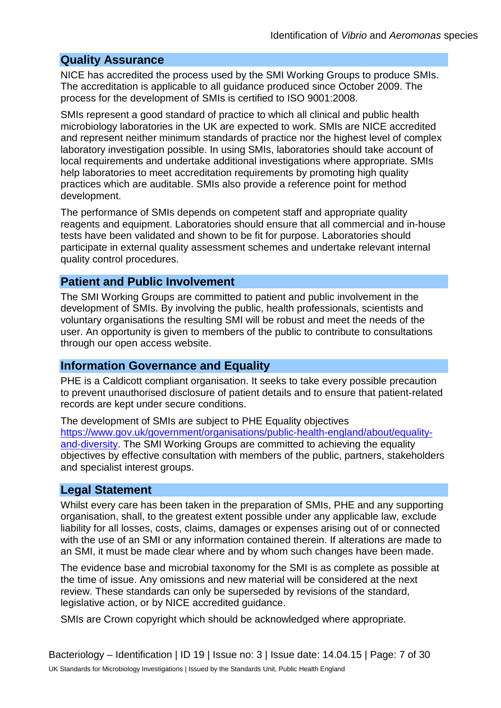#### **Quality Assurance**

NICE has accredited the process used by the SMI Working Groups to produce SMIs. The accreditation is applicable to all guidance produced since October 2009. The process for the development of SMIs is certified to ISO 9001:2008.

SMIs represent a good standard of practice to which all clinical and public health microbiology laboratories in the UK are expected to work. SMIs are NICE accredited and represent neither minimum standards of practice nor the highest level of complex laboratory investigation possible. In using SMIs, laboratories should take account of local requirements and undertake additional investigations where appropriate. SMIs help laboratories to meet accreditation requirements by promoting high quality practices which are auditable. SMIs also provide a reference point for method development.

The performance of SMIs depends on competent staff and appropriate quality reagents and equipment. Laboratories should ensure that all commercial and in-house tests have been validated and shown to be fit for purpose. Laboratories should participate in external quality assessment schemes and undertake relevant internal quality control procedures.

### **Patient and Public Involvement**

The SMI Working Groups are committed to patient and public involvement in the development of SMIs. By involving the public, health professionals, scientists and voluntary organisations the resulting SMI will be robust and meet the needs of the user. An opportunity is given to members of the public to contribute to consultations through our open access website.

### **Information Governance and Equality**

PHE is a Caldicott compliant organisation. It seeks to take every possible precaution to prevent unauthorised disclosure of patient details and to ensure that patient-related records are kept under secure conditions.

The development of SMIs are subject to PHE Equality objectives [https://www.gov.uk/government/organisations/public-health-england/about/equality](https://www.gov.uk/government/organisations/public-health-england/about/equality-and-diversity)[and-diversity.](https://www.gov.uk/government/organisations/public-health-england/about/equality-and-diversity) The SMI Working Groups are committed to achieving the equality objectives by effective consultation with members of the public, partners, stakeholders and specialist interest groups.

### **Legal Statement**

Whilst every care has been taken in the preparation of SMIs, PHE and any supporting organisation, shall, to the greatest extent possible under any applicable law, exclude liability for all losses, costs, claims, damages or expenses arising out of or connected with the use of an SMI or any information contained therein. If alterations are made to an SMI, it must be made clear where and by whom such changes have been made.

The evidence base and microbial taxonomy for the SMI is as complete as possible at the time of issue. Any omissions and new material will be considered at the next review. These standards can only be superseded by revisions of the standard, legislative action, or by NICE accredited guidance.

SMIs are Crown copyright which should be acknowledged where appropriate.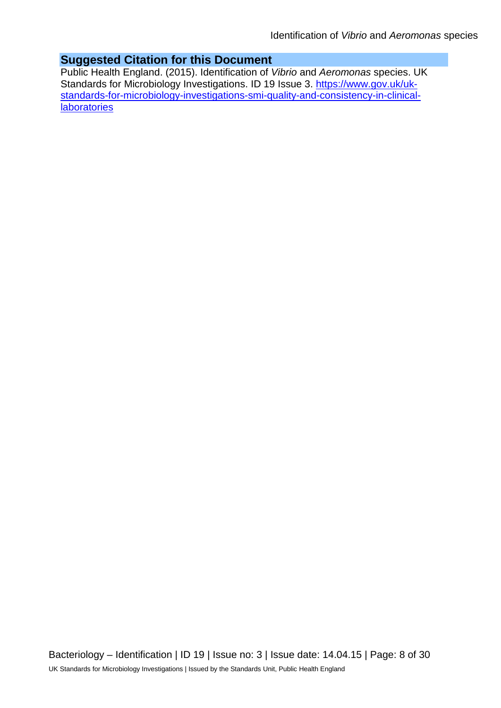# **Suggested Citation for this Document**

Public Health England. (2015). Identification of *Vibrio* and *Aeromonas* species. UK Standards for Microbiology Investigations. ID 19 Issue 3. [https://www.gov.uk/uk](https://www.gov.uk/uk-standards-for-microbiology-investigations-smi-quality-and-consistency-in-clinical-laboratories)[standards-for-microbiology-investigations-smi-quality-and-consistency-in-clinical](https://www.gov.uk/uk-standards-for-microbiology-investigations-smi-quality-and-consistency-in-clinical-laboratories)**[laboratories](https://www.gov.uk/uk-standards-for-microbiology-investigations-smi-quality-and-consistency-in-clinical-laboratories)**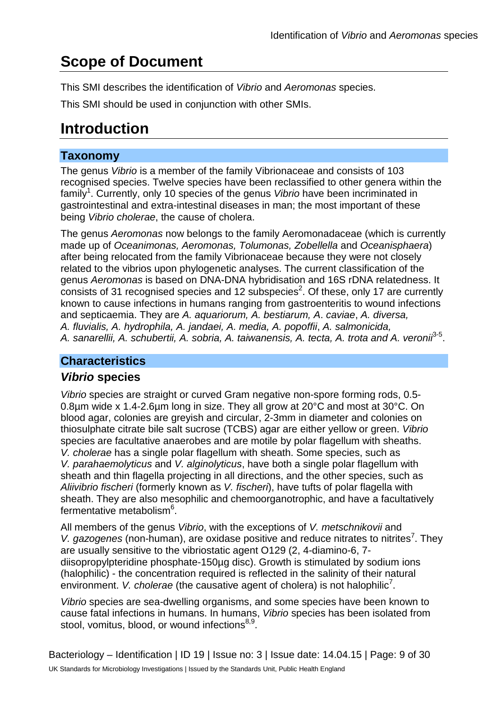# **Scope of Document**

This SMI describes the identification of *Vibrio* and *Aeromonas* species.

This SMI should be used in conjunction with other SMIs.

# **Introduction**

# **Taxonomy**

The genus *Vibrio* is a member of the family Vibrionaceae and consists of 103 recognised species. Twelve species have been reclassified to other genera within the family<sup>1</sup>. Currently, only 10 species of the genus *Vibrio* have been incriminated in gastrointestinal and extra-intestinal diseases in man; the most important of these being *Vibrio cholerae*, the cause of cholera.

The genus *Aeromonas* now belongs to the family Aeromonadaceae (which is currently made up of *Oceanimonas, Aeromonas, Tolumonas, Zobellella* and *Oceanisphaera*) after being relocated from the family Vibrionaceae because they were not closely related to the vibrios upon phylogenetic analyses. The current classification of the genus *Aeromonas* is based on DNA-DNA hybridisation and 16S rDNA relatedness. It consists of 31 recognised species and 12 subspecies<sup>2</sup>. Of these, only 17 are currently known to cause infections in humans ranging from gastroenteritis to wound infections and septicaemia. They are *A. aquariorum, A. bestiarum, A*. *caviae*, *A. diversa, A. fluvialis, A. hydrophila, A. jandaei, A. media, A. popoffii*, *A. salmonicida,* A. sanarellii, A. schubertii, A. sobria, A. taiwanensis, A. tecta, A. trota and A. veronii<sup>3-5</sup>.

# **Characteristics**

# *Vibrio* **species**

*Vibrio* species are straight or curved Gram negative non-spore forming rods, 0.5- 0.8µm wide x 1.4-2.6µm long in size. They all grow at 20°C and most at 30°C. On blood agar, colonies are greyish and circular, 2-3mm in diameter and colonies on thiosulphate citrate bile salt sucrose (TCBS) agar are either yellow or green. *Vibrio* species are facultative anaerobes and are motile by polar flagellum with sheaths. *V. cholerae* has a single polar flagellum with sheath. Some species, such as *V. parahaemolyticus* and *V. alginolyticus*, have both a single polar flagellum with sheath and thin flagella projecting in all directions, and the other species, such as *Aliivibrio fischeri* (formerly known as *V. fischeri*), have tufts of polar flagella with sheath. They are also mesophilic and chemoorganotrophic, and have a facultatively fermentative metabolism<sup>6</sup>.

All members of the genus *Vibrio*, with the exceptions of *V. metschnikovii* and V. gazogenes (non-human), are oxidase positive and reduce nitrates to nitrites<sup>7</sup>. They are usually sensitive to the vibriostatic agent O129 (2, 4-diamino-6, 7 diisopropylpteridine phosphate-150µg disc). Growth is stimulated by sodium ions (halophilic) - the concentration required is reflected in the salinity of their natural environment. V. cholerae (the causative agent of cholera) is not halophilic<sup>7</sup>.

*Vibrio* species are sea-dwelling organisms, and some species have been known to cause fatal infections in humans. In humans, *Vibrio* species has been isolated from stool, vomitus, blood, or wound infections<sup>8,9</sup>.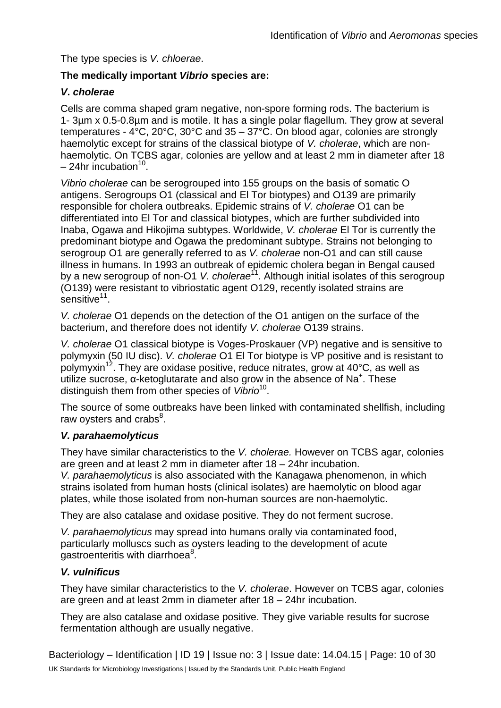The type species is *V. chloerae*.

#### **The medically important** *Vibrio* **species are:**

#### *V***.** *cholerae*

Cells are comma shaped gram negative, non-spore forming rods. The bacterium is 1- 3µm x 0.5-0.8µm and is motile. It has a single polar flagellum. They grow at several temperatures - 4°C, 20°C, 30°C and 35 – 37°C. On blood agar, colonies are strongly haemolytic except for strains of the classical biotype of *V. cholerae*, which are nonhaemolytic. On TCBS agar, colonies are yellow and at least 2 mm in diameter after 18  $-24$ hr incubation<sup>10</sup>.

*Vibrio cholerae* can be serogrouped into 155 groups on the basis of somatic O antigens. Serogroups O1 (classical and El Tor biotypes) and O139 are primarily responsible for cholera outbreaks. Epidemic strains of *V. cholerae* O1 can be differentiated into El Tor and classical biotypes, which are further subdivided into Inaba, Ogawa and Hikojima subtypes. Worldwide, *V. cholerae* El Tor is currently the predominant biotype and Ogawa the predominant subtype. Strains not belonging to serogroup O1 are generally referred to as *V. cholerae* non-O1 and can still cause illness in humans. In 1993 an outbreak of epidemic cholera began in Bengal caused by a new serogroup of non-O1 *V. cholerae*<sup>11</sup>. Although initial isolates of this serogroup (O139) were resistant to vibriostatic agent O129, recently isolated strains are sensitive<sup>11</sup>.

*V. cholerae* O1 depends on the detection of the O1 antigen on the surface of the bacterium, and therefore does not identify *V. cholerae* O139 strains.

*V. cholerae* O1 classical biotype is Voges-Proskauer (VP) negative and is sensitive to polymyxin (50 IU disc). *V. cholerae* O1 El Tor biotype is VP positive and is resistant to polymyxin<sup>12</sup>. They are oxidase positive, reduce nitrates, grow at  $40^{\circ}$ C, as well as utilize sucrose,  $\alpha$ -ketoglutarate and also grow in the absence of Na<sup>+</sup>. These distinguish them from other species of *Vibrio*10.

The source of some outbreaks have been linked with contaminated shellfish, including raw oysters and crabs<sup>8</sup>.

#### *V. parahaemolyticus*

They have similar characteristics to the *V. cholerae.* However on TCBS agar, colonies are green and at least 2 mm in diameter after 18 – 24hr incubation.

*V. parahaemolyticus* is also associated with the Kanagawa phenomenon, in which strains isolated from human hosts (clinical isolates) are haemolytic on blood agar plates, while those isolated from non-human sources are non-haemolytic.

They are also catalase and oxidase positive. They do not ferment sucrose.

*V. parahaemolyticus* may spread into humans orally via contaminated food, particularly molluscs such as oysters leading to the development of acute gastroenteritis with diarrhoea<sup>8</sup>.

#### *V. vulnificus*

They have similar characteristics to the *V. cholerae*. However on TCBS agar, colonies are green and at least 2mm in diameter after 18 – 24hr incubation.

They are also catalase and oxidase positive. They give variable results for sucrose fermentation although are usually negative.

Bacteriology – Identification | ID 19 | Issue no: 3 | Issue date: 14.04.15 | Page: 10 of 30 UK Standards for Microbiology Investigations | Issued by the Standards Unit, Public Health England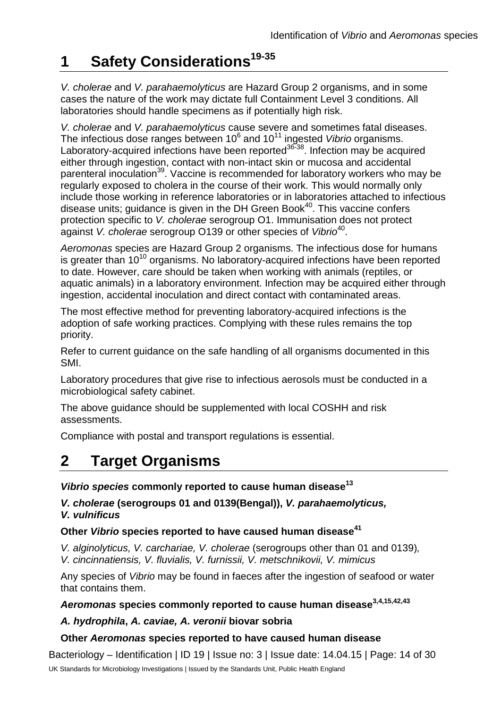### **Suggested Citation for this Document**

Public Health England. (2015). Identification of Vibrio and Aeromonas species. UK Standards for Microbiology Investigations. ID 19 Issue 3. https://www.gov.uk/ukstandards-for-microbiology-investigations-smi-quality-and-consistency-in-clinicallaboratories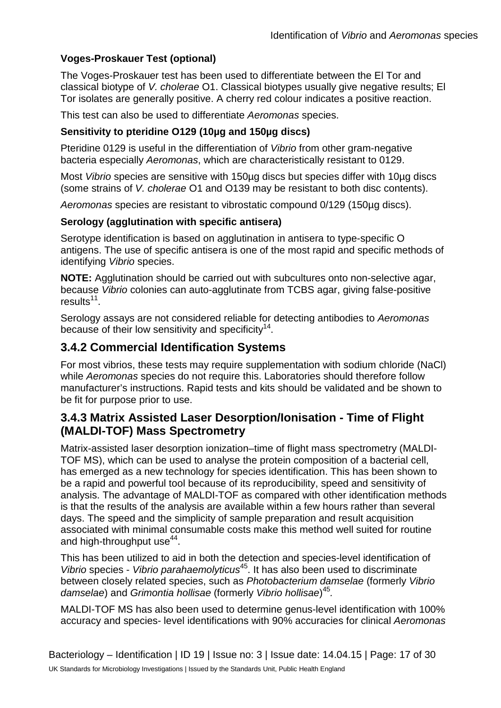### **Quality Assurance**

NICE has accredited the process used by the SMI Working Groups to produce SMIs. The accreditation is applicable to all guidance produced since October 2009. The process for the development of SMIs is certified to ISO 9001:2008.

SMIs represent a good standard of practice to which all clinical and public health microbiology laboratories in the UK are expected to work. SMIs are NICE accredited and represent neither minimum standards of practice nor the highest level of complex laboratory investigation possible. In using SMIs, laboratories should take account of local requirements and undertake additional investigations where appropriate. SMIs help laboratories to meet accreditation requirements by promoting high quality practices which are auditable. SMIs also provide a reference point for method development.

The performance of SMIs depends on competent staff and appropriate quality reagents and equipment. Laboratories should ensure that all commercial and in-house tests have been validated and shown to be fit for purpose. Laboratories should participate in external quality assessment schemes and undertake relevant internal quality control procedures.

### **Patient and Public Involvement**

The SMI Working Groups are committed to patient and public involvement in the development of SMIs. By involving the public, health professionals, scientists and voluntary organisations the resulting SMI will be robust and meet the needs of the user. An opportunity is given to members of the public to contribute to consultations through our open access website.

#### **Information Governance and Equality**

PHE is a Caldicott compliant organisation. It seeks to take every possible precaution to prevent unauthorised disclosure of patient details and to ensure that patient-related records are kept under secure conditions.

The development of SMIs are subject to PHE Equality objectives https://www.gov.uk/government/organisations/public-health-england/about/equalityand-diversity. The SMI Working Groups are committed to achieving the equality objectives by effective consultation with members of the public, partners, stakeholders and specialist interest groups.

#### **Legal Statement**

Whilst every care has been taken in the preparation of SMIs, PHE and any supporting organisation, shall, to the greatest extent possible under any applicable law, exclude liability for all losses, costs, claims, damages or expenses arising out of or connected with the use of an SMI or any information contained therein. If alterations are made to an SMI, it must be made clear where and by whom such changes have been made.

The evidence base and microbial taxonomy for the SMI is as complete as possible at the time of issue. Any omissions and new material will be considered at the next review. These standards can only be superseded by revisions of the standard, legislative action, or by NICE accredited quidance.

SMIs are Crown copyright which should be acknowledged where appropriate.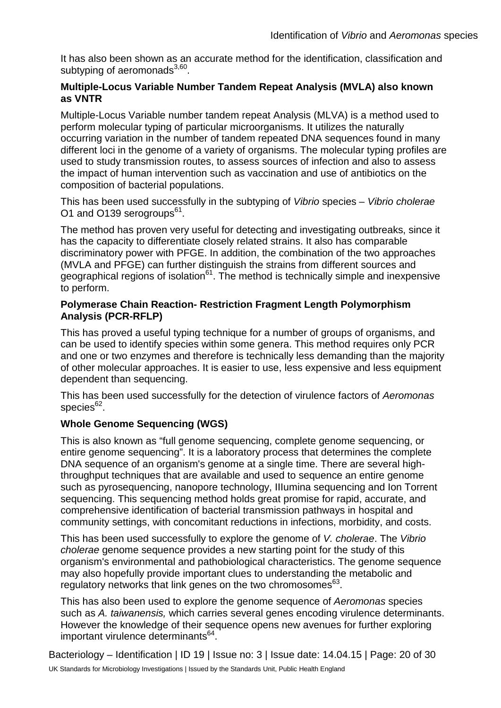# **UK Standards for Microbiology Investigations: Scope and Purpose**

### **Users of SMIs**

- x SMIs are primarily intended as a general resource for practising professionals operating in the field of laboratory medicine and infection specialties in the UK
- x SMIs provide clinicians with information about the available test repertoire and the standard of laboratory services they should expect for the investigation of infection in their patients, as well as providing information that aids the electronic ordering of appropriate tests
- x SMIs provide commissioners of healthcare services with the appropriateness and standard of microbiology investigations they should be seeking as part of the clinical and public health care package for their population

### **Background to SMIs**

SMIs comprise a collection of recommended algorithms and procedures covering all stages of the investigative process in microbiology from the pre-analytical (clinical syndrome) stage to the analytical (laboratory testing) and post analytical (result interpretation and reporting) stages.

Syndromic algorithms are supported by more detailed documents containing advice on the investigation of specific diseases and infections. Guidance notes cover the clinical background, differential diagnosis, and appropriate investigation of particular clinical conditions. Quality guidance notes describe laboratory processes which underpin quality, for example assay validation.

Standardisation of the diagnostic process through the application of SMIs helps to assure the equivalence of investigation strategies in different laboratories across the UK and is essential for public health surveillance, research and development activities.

# **Equal Partnership Working**

SMIs are developed in equal partnership with PHE, NHS, Royal College of Pathologists and professional societies.

The list of participating societies may be found at https://www.gov.uk/uk-standards-formicrobiology-investigations-smi-quality-and-consistency-in-clinical-laboratories. Inclusion of a logo in an SMI indicates participation of the society in equal partnership and support for the objectives and process of preparing SMIs. Nominees of professional societies are members of the Steering Committee and Working Groups which develop SMIs. The views of nominees cannot be rigorously representative of the members of their nominating organisations nor the corporate views of their organisations. Nominees act as a conduit for two way reporting and dialogue. Representative views are sought through the consultation process.

SMIs are developed, reviewed and updated through a wide consultation process.

Microbiology is used as a generic term to include the two GMC-recognised specialties of Medical Microbiology (which includes Bacteriology, Mycology and Parasitology) and Medical Virology.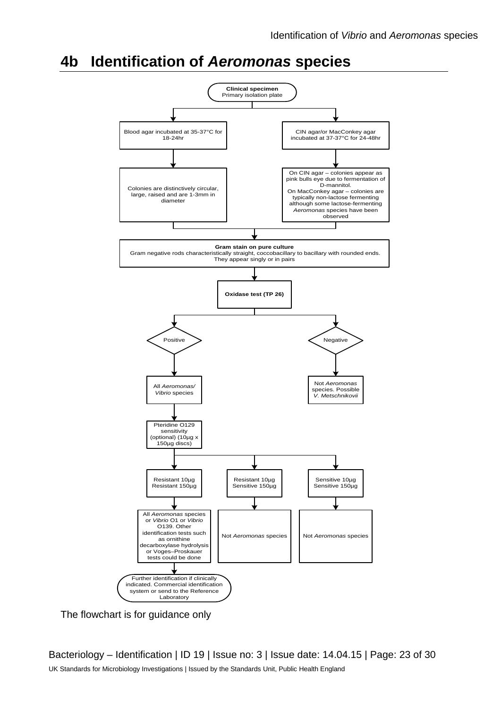# **Amendment Table**

Each SMI method has an individual record of amendments. The current amendments are listed on this page. The amendment history is available from standards@phe.gov.uk.

New or revised documents should be controlled within the laboratory in accordance with the local quality management system.

| Amendment No/Date.                           | 5/14.04.15                                                                                                                                                                 |
|----------------------------------------------|----------------------------------------------------------------------------------------------------------------------------------------------------------------------------|
| Issue no. discarded.                         | 2.2                                                                                                                                                                        |
| Insert Issue no.                             | 3                                                                                                                                                                          |
| Section(s) involved                          | <b>Amendment</b>                                                                                                                                                           |
| Whole document.                              | Hyperlinks updated to gov.uk.                                                                                                                                              |
| Page 2.                                      | Updated logos added.                                                                                                                                                       |
| Title Change.                                | The title has been updated to include Aeromonas<br>species.                                                                                                                |
| Scope of Document.                           | The scope has been updated to include<br>Aeromonas species.                                                                                                                |
|                                              | The taxonomy of Vibrio species has been updated.                                                                                                                           |
|                                              | Aeromonas species have been added into this<br>document.                                                                                                                   |
| Introduction.                                | More information has been added to the<br>Characteristics section. The medically important<br>species of Aeromonas and Vibrio are mentioned.                               |
|                                              | Section on Principles of Identification has been<br>updated to include the MALDI-TOF.                                                                                      |
| <b>Technical</b><br>Information/Limitations. | Addition of information regarding serology, oxidase<br>test, Gram stain, commercial identification systems<br>and differentiation between Aeromonas and Vibrio<br>species. |
| <b>Safety Considerations</b>                 | This section has been updated on the handling of<br>Aeromonas and Vibrio species as well as<br>laboratory acquired infections.                                             |
| Target Organisms.                            | The section on the Target organisms has been<br>updated and presented clearly for both organisms.                                                                          |
| Identification.                              | Updates have been done on 3.2, 3.3 and 3.4 to<br>reflect standards in practice.                                                                                            |
|                                              | Section 3.4.2, 3.4.3 and 3.4.4 has been updated to<br>include Commercial Identification Systems,                                                                           |

Bacteriology - Identification | ID 19 | Issue no: 3 | Issue date: 14.04.15 | Page: 4 of 30

UK Standards for Microbiology Investigations | Issued by the Standards Unit, Public Health England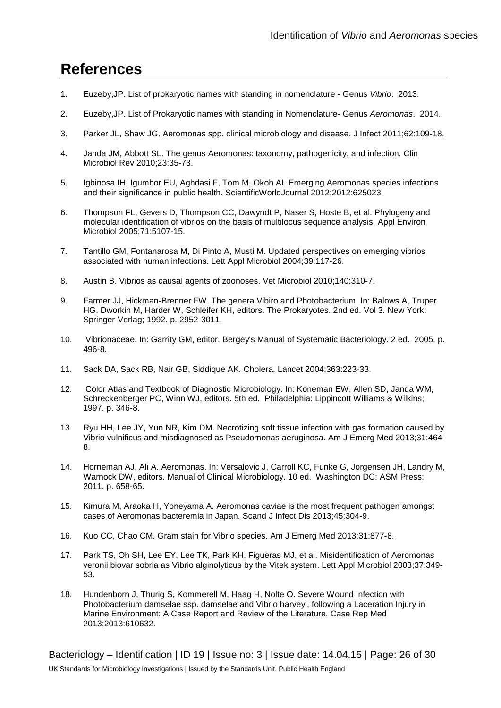# **Acknowledgments**

UK Standards for Microbiology Investigations (SMIs) are developed under the auspices of Public Health England (PHE) working in partnership with the National Health Service (NHS), Public Health Wales and with the professional organisations whose logos are displayed below and listed on the website https://www.gov.uk/ukstandards-for-microbiology-investigations-smi-quality-and-consistency-in-clinicallaboratories. SMIs are developed, reviewed and revised by various working groups which are overseen by a steering committee (see https://www.gov.uk/government/groups/standards-for-microbiology-investigationssteering-committee).

The contributions of many individuals in clinical, specialist and reference laboratories who have provided information and comments during the development of this document are acknowledged. We are grateful to the Medical Editors for editing the medical content.

For further information please contact us at:

Standards Unit **Microbiology Services Public Health England** 61 Colindale Avenue London NW9 5EQ E-mail: standards@phe.gov.uk

Website: https://www.gov.uk/uk-standards-for-microbiology-investigations-smi-qualityand-consistency-in-clinical-laboratories

PHE Publications gateway number: 2015013

UK Standards for Microbiology Investigations are produced in association with:

Logos correct at time of publishing.

Bacteriology - Identification | ID 19 | Issue no: 3 | Issue date: 14.04.15 | Page: 2 of 30 UK Standards for Microbiology Investigations | Issued by the Standards Unit, Public Health England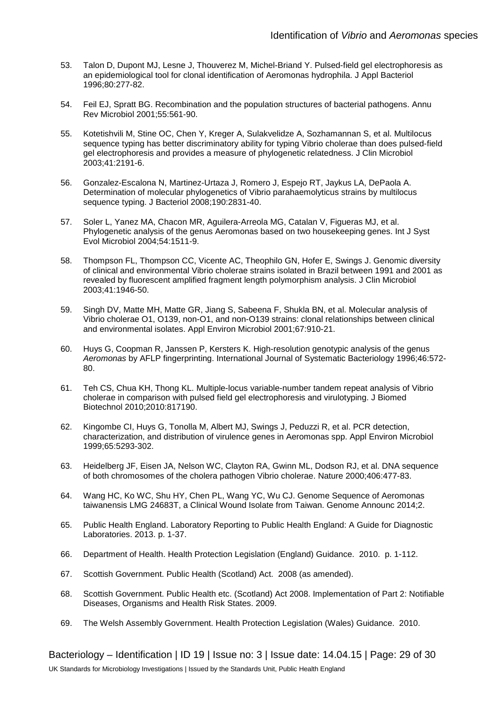- 53. Talon D, Dupont MJ, Lesne J, Thouverez M, Michel-Briand Y. Pulsed-field gel electrophoresis as an epidemiological tool for clonal identification of Aeromonas hydrophila. J Appl Bacteriol 1996;80:277-82.
- 54. Feil EJ, Spratt BG. Recombination and the population structures of bacterial pathogens. Annu Rev Microbiol 2001;55:561-90.
- 55. Kotetishvili M, Stine OC, Chen Y, Kreger A, Sulakvelidze A, Sozhamannan S, et al. Multilocus sequence typing has better discriminatory ability for typing Vibrio cholerae than does pulsed-field gel electrophoresis and provides a measure of phylogenetic relatedness. J Clin Microbiol 2003;41:2191-6.
- 56. Gonzalez-Escalona N, Martinez-Urtaza J, Romero J, Espejo RT, Jaykus LA, DePaola A. Determination of molecular phylogenetics of Vibrio parahaemolyticus strains by multilocus sequence typing. J Bacteriol 2008;190:2831-40.
- 57. Soler L, Yanez MA, Chacon MR, Aguilera-Arreola MG, Catalan V, Figueras MJ, et al. Phylogenetic analysis of the genus Aeromonas based on two housekeeping genes. Int J Syst Evol Microbiol 2004;54:1511-9.
- 58. Thompson FL, Thompson CC, Vicente AC, Theophilo GN, Hofer E, Swings J. Genomic diversity of clinical and environmental Vibrio cholerae strains isolated in Brazil between 1991 and 2001 as revealed by fluorescent amplified fragment length polymorphism analysis. J Clin Microbiol 2003;41:1946-50.
- 59. Singh DV, Matte MH, Matte GR, Jiang S, Sabeena F, Shukla BN, et al. Molecular analysis of Vibrio cholerae O1, O139, non-O1, and non-O139 strains: clonal relationships between clinical and environmental isolates. Appl Environ Microbiol 2001;67:910-21.
- 60. Huys G, Coopman R, Janssen P, Kersters K. High-resolution genotypic analysis of the genus *Aeromonas* by AFLP fingerprinting. International Journal of Systematic Bacteriology 1996;46:572- 80.
- 61. Teh CS, Chua KH, Thong KL. Multiple-locus variable-number tandem repeat analysis of Vibrio cholerae in comparison with pulsed field gel electrophoresis and virulotyping. J Biomed Biotechnol 2010;2010:817190.
- 62. Kingombe CI, Huys G, Tonolla M, Albert MJ, Swings J, Peduzzi R, et al. PCR detection, characterization, and distribution of virulence genes in Aeromonas spp. Appl Environ Microbiol 1999;65:5293-302.
- 63. Heidelberg JF, Eisen JA, Nelson WC, Clayton RA, Gwinn ML, Dodson RJ, et al. DNA sequence of both chromosomes of the cholera pathogen Vibrio cholerae. Nature 2000;406:477-83.
- 64. Wang HC, Ko WC, Shu HY, Chen PL, Wang YC, Wu CJ. Genome Sequence of Aeromonas taiwanensis LMG 24683T, a Clinical Wound Isolate from Taiwan. Genome Announc 2014;2.
- 65. Public Health England. Laboratory Reporting to Public Health England: A Guide for Diagnostic Laboratories. 2013. p. 1-37.
- 66. Department of Health. Health Protection Legislation (England) Guidance. 2010. p. 1-112.
- 67. Scottish Government. Public Health (Scotland) Act. 2008 (as amended).
- 68. Scottish Government. Public Health etc. (Scotland) Act 2008. Implementation of Part 2: Notifiable Diseases, Organisms and Health Risk States. 2009.
- 69. The Welsh Assembly Government. Health Protection Legislation (Wales) Guidance. 2010.

Bacteriology – Identification | ID 19 | Issue no: 3 | Issue date: 14.04.15 | Page: 29 of 30 UK Standards for Microbiology Investigations | Issued by the Standards Unit, Public Health England